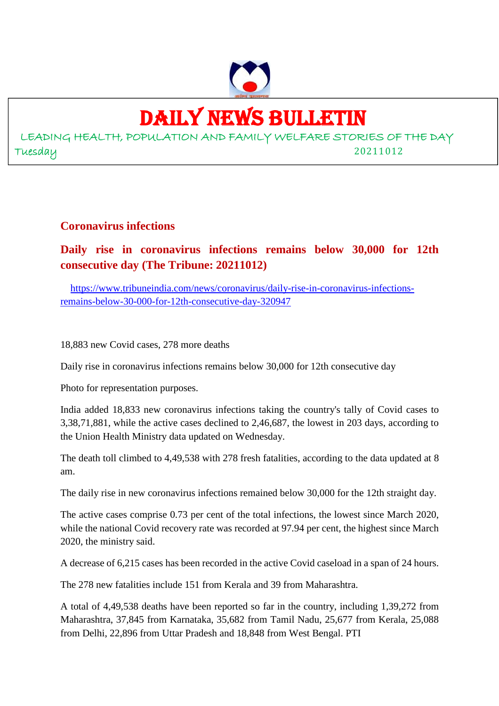

## DAILY NEWS BULLETIN

LEADING HEALTH, POPULATION AND FAMILY WELFARE STORIES OF THE DAY Tuesday 20211012

#### **Coronavirus infections**

#### **Daily rise in coronavirus infections remains below 30,000 for 12th consecutive day (The Tribune: 20211012)**

https://www.tribuneindia.com/news/coronavirus/daily-rise-in-coronavirus-infectionsremains-below-30-000-for-12th-consecutive-day-320947

18,883 new Covid cases, 278 more deaths

Daily rise in coronavirus infections remains below 30,000 for 12th consecutive day

Photo for representation purposes.

India added 18,833 new coronavirus infections taking the country's tally of Covid cases to 3,38,71,881, while the active cases declined to 2,46,687, the lowest in 203 days, according to the Union Health Ministry data updated on Wednesday.

The death toll climbed to 4,49,538 with 278 fresh fatalities, according to the data updated at 8 am.

The daily rise in new coronavirus infections remained below 30,000 for the 12th straight day.

The active cases comprise 0.73 per cent of the total infections, the lowest since March 2020, while the national Covid recovery rate was recorded at 97.94 per cent, the highest since March 2020, the ministry said.

A decrease of 6,215 cases has been recorded in the active Covid caseload in a span of 24 hours.

The 278 new fatalities include 151 from Kerala and 39 from Maharashtra.

A total of 4,49,538 deaths have been reported so far in the country, including 1,39,272 from Maharashtra, 37,845 from Karnataka, 35,682 from Tamil Nadu, 25,677 from Kerala, 25,088 from Delhi, 22,896 from Uttar Pradesh and 18,848 from West Bengal. PTI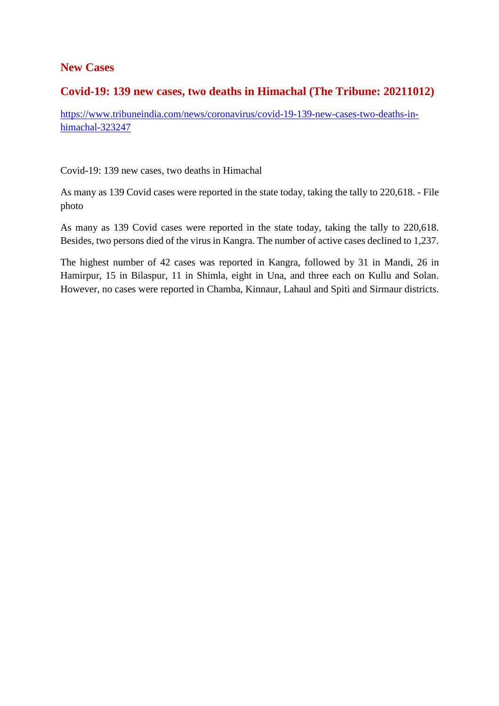#### **New Cases**

#### **Covid-19: 139 new cases, two deaths in Himachal (The Tribune: 20211012)**

https://www.tribuneindia.com/news/coronavirus/covid-19-139-new-cases-two-deaths-inhimachal-323247

Covid-19: 139 new cases, two deaths in Himachal

As many as 139 Covid cases were reported in the state today, taking the tally to 220,618. - File photo

As many as 139 Covid cases were reported in the state today, taking the tally to 220,618. Besides, two persons died of the virus in Kangra. The number of active cases declined to 1,237.

The highest number of 42 cases was reported in Kangra, followed by 31 in Mandi, 26 in Hamirpur, 15 in Bilaspur, 11 in Shimla, eight in Una, and three each on Kullu and Solan. However, no cases were reported in Chamba, Kinnaur, Lahaul and Spiti and Sirmaur districts.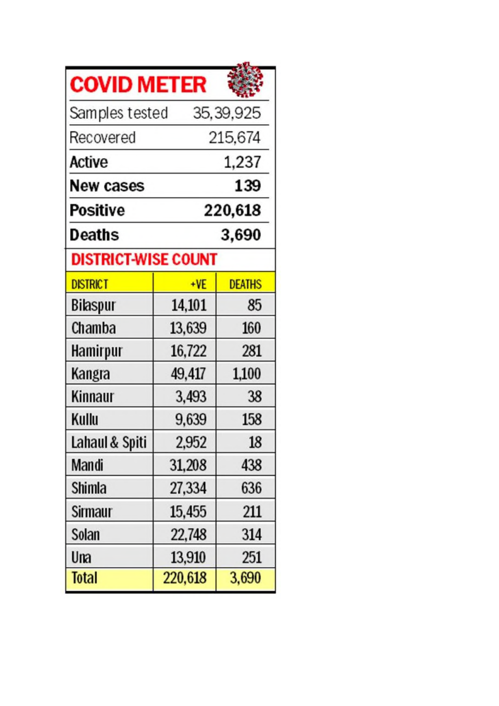| <b>COVID METER</b> |
|--------------------|
|--------------------|

| <b>COVID METER</b>            |         |               |  |
|-------------------------------|---------|---------------|--|
| Samples tested<br>35, 39, 925 |         |               |  |
| Recovered                     |         | 215,674       |  |
| Active<br>1,237               |         |               |  |
| New cases                     |         | 139           |  |
| 220,618<br>Positive           |         |               |  |
| 3,690<br>Deaths               |         |               |  |
| <b>DISTRICT-WISE COUNT</b>    |         |               |  |
| <b>DISTRICT</b>               | $+VE$   | <b>DEATHS</b> |  |
| Bilaspur                      | 14,101  | 85            |  |
| Chamba                        | 13,639  | 160           |  |
| Hamirpur                      | 16,722  | 281           |  |
| Kangra                        | 49,417  | 1,100         |  |
| Kinnaur                       | 3,493   | 38            |  |
| Kullu                         | 9,639   | 158           |  |
| Lahaul & Spiti                | 2,952   | 18            |  |
| Mandi                         | 31,208  | 438           |  |
| Shimla                        | 27,334  | 636           |  |
| Sirmaur                       | 15,455  | 211           |  |
| Solan                         | 22,748  | 314           |  |
| Una                           | 13,910  | 251           |  |
| <b>Total</b>                  | 220,618 | 3,690         |  |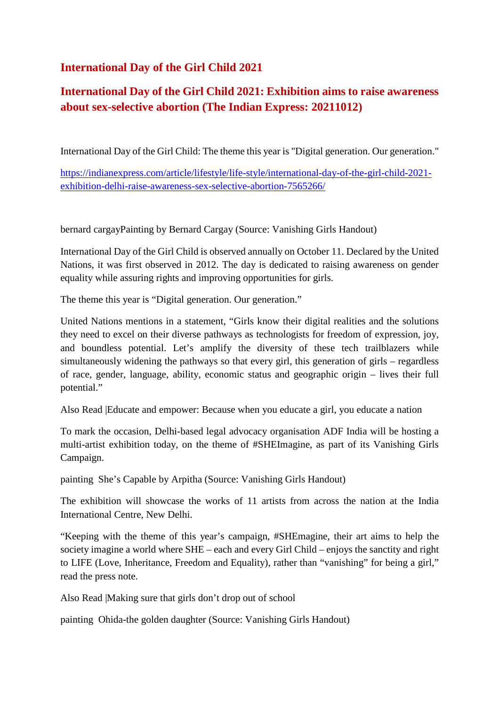#### **International Day of the Girl Child 2021**

#### **International Day of the Girl Child 2021: Exhibition aims to raise awareness about sex-selective abortion (The Indian Express: 20211012)**

International Day of the Girl Child: The theme this year is "Digital generation. Our generation."

https://indianexpress.com/article/lifestyle/life-style/international-day-of-the-girl-child-2021 exhibition-delhi-raise-awareness-sex-selective-abortion-7565266/

bernard cargayPainting by Bernard Cargay (Source: Vanishing Girls Handout)

International Day of the Girl Child is observed annually on October 11. Declared by the United Nations, it was first observed in 2012. The day is dedicated to raising awareness on gender equality while assuring rights and improving opportunities for girls.

The theme this year is "Digital generation. Our generation."

United Nations mentions in a statement, "Girls know their digital realities and the solutions they need to excel on their diverse pathways as technologists for freedom of expression, joy, and boundless potential. Let's amplify the diversity of these tech trailblazers while simultaneously widening the pathways so that every girl, this generation of girls – regardless of race, gender, language, ability, economic status and geographic origin – lives their full potential."

Also Read |Educate and empower: Because when you educate a girl, you educate a nation

To mark the occasion, Delhi-based legal advocacy organisation ADF India will be hosting a multi-artist exhibition today, on the theme of #SHEImagine, as part of its Vanishing Girls Campaign.

painting She's Capable by Arpitha (Source: Vanishing Girls Handout)

The exhibition will showcase the works of 11 artists from across the nation at the India International Centre, New Delhi.

"Keeping with the theme of this year's campaign, #SHEmagine, their art aims to help the society imagine a world where SHE – each and every Girl Child – enjoys the sanctity and right to LIFE (Love, Inheritance, Freedom and Equality), rather than "vanishing" for being a girl," read the press note.

Also Read |Making sure that girls don't drop out of school

painting Ohida-the golden daughter (Source: Vanishing Girls Handout)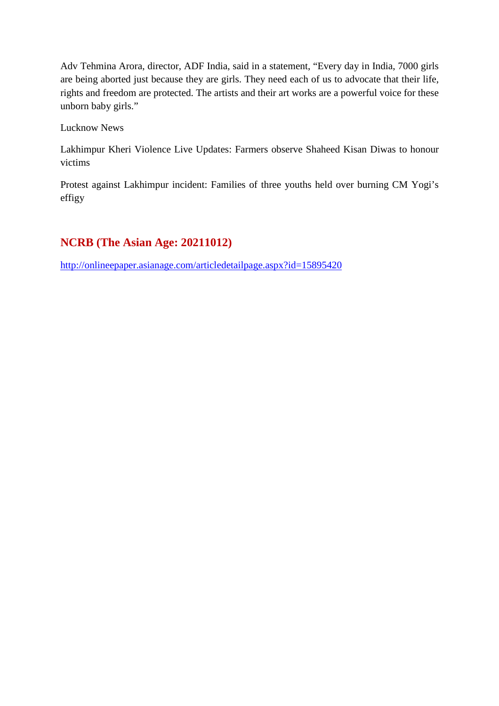Adv Tehmina Arora, director, ADF India, said in a statement, "Every day in India, 7000 girls are being aborted just because they are girls. They need each of us to advocate that their life, rights and freedom are protected. The artists and their art works are a powerful voice for these unborn baby girls."

Lucknow News

Lakhimpur Kheri Violence Live Updates: Farmers observe Shaheed Kisan Diwas to honour victims

Protest against Lakhimpur incident: Families of three youths held over burning CM Yogi's effigy

#### **NCRB (The Asian Age: 20211012)**

http://onlineepaper.asianage.com/articledetailpage.aspx?id=15895420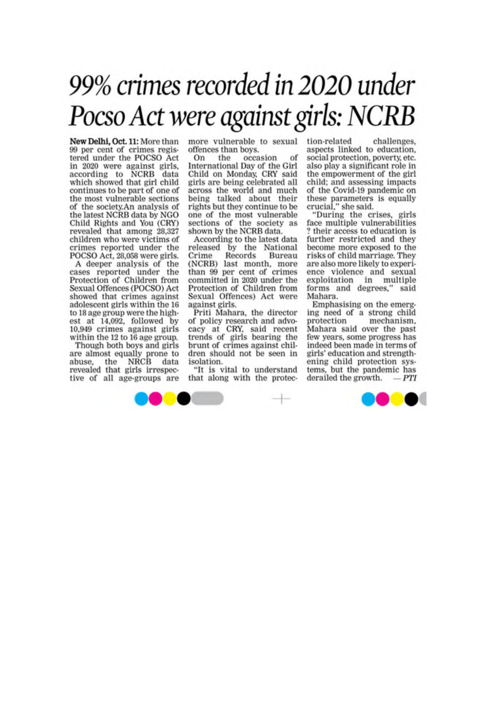# 99% crimes recorded in 2020 under Pocso Act were against girls: NCRB

New Delhi, Oct. 11: More than<br>99 per cent of crimes registered under the POCSO Act in 2020 were against girls,<br>according to NCRB data<br>which showed that girl child continues to be part of one of the most vulnerable sections of the society.An analysis of the latest NCRB data by NGO Child Rights and You (CRY) revealed that among 28,327 children who were victims of crimes reported under the POCSO Act, 28,058 were girls.

A deeper analysis of the<br>cases reported under the Protection of Children from Sexual Offences (POCSO) Act showed that crimes against adolescent girls within the 16 to 18 age group were the highest at 14,092, followed by 10,949 crimes against girls within the 12 to 16 age group.

Though both boys and girls are almost equally prone to<br>abuse, the NRCB data<br>revealed that girls irrespective of all age-groups are more vulnerable to sexual offences than boys.

On the occasion International Day of the Girl Child on Monday, CRY said girls are being celebrated all across the world and much being talked about their rights but they continue to be one of the most vulnerable sections of the society as shown by the NCRB data.

According to the latest data released by the National Records Crime Bureau (NCRB) last month, more<br>than 99 per cent of crimes committed in 2020 under the Protection of Children from Sexual Offences) Act were against girls.

Priti Mahara, the director of policy research and advo-<br>cacy at CRY, said recent<br>trends of girls bearing the brunt of crimes against children should not be seen in isolation.

"It is vital to understand that along with the protection-related challenges. aspects linked to education, social protection, poverty, etc. also play a significant role in the empowerment of the girl child; and assessing impacts of the Covid-19 pandemic on these parameters is equally<br>crucial," she said.<br>"During the crises, girls

face multiple vulnerabilities ? their access to education is further restricted and they become more exposed to the risks of child marriage. They are also more likely to experience violence and sexual exploitation in multiple<br>forms and degrees," said Mahara.

Emphasising on the emerging need of a strong child mechanism, protection Mahara said over the past few years, some progress has indeed been made in terms of girls' education and strengthening child protection systems, but the pandemic has derailed the growth.  $-PTI$ 

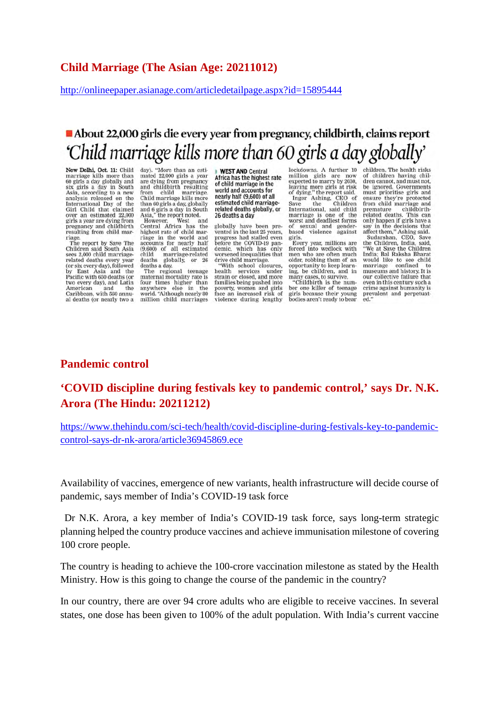http://onlineepaper.asianage.com/articledetailpage.aspx?id=15895444

### About 22,000 girls die every year from pregnancy, childbirth, claims report 'Child marriage kills more than 60 girls a day globally'

New Delhi, Oct. 11: Child marriage kills more than<br>60 girls a day globally and<br>six girls a day in South six girs a day in Sourin<br>Asia, according to a new<br>analysis released on the<br>International Day of the<br>Girl Child that claimed over an estimated 22,000 girls a year are dying from<br>pregnancy and childbirth resulting from child marriage.<br>The report by Save The

Children said South Asia<br>sees 2,000 child marriagerelated deaths every year (or six every day), followed<br>by East Asia and the Pacific with 650 deaths (or two every day), and Latin American and the Caribbean, with 560 annual deaths (or nearly two a day). "More than an estimated 22,000 girls a year<br>are dying from pregnancy<br>and childbirth resulting from child marriage.<br>Child marriage kills more than 60 girls a day, globally<br>and 6 girls a day, globally<br>and 6 girls a day in South<br>Asia," the report noted.

Asia, the report noted.<br>However, West and<br>Central Africa has the<br>highest rate of child mar-<br>riage in the world and<br>accounts for nearly half (9,600) of all estimated<br>child marriage-related deaths deaths globally, or 26<br>deaths a day.<br>The regional teenage

maternal mortality rate is<br>four times higher than<br>anywhere else in the anywhere eise in the<br>world. "Although nearly 80<br>million child marriages **WEST AND Central**<br>Africa has the highest rate of child marriage in the world and accounts for nearly half (9,600) of all estimated child marriagerelated deaths globally, or 26 deaths a day

globally have been prevented in the last 25 years,<br>progress had stalled even<br>before the COVID-19 pandemic, which has only<br>worsened inequalities that drive child marriage.

"With school closures,<br>ealth services under health strain or closed, and more families being pushed into poverty, women and girls<br>face an increased risk of<br>violence during lengthy

lockdowns. A further 10<br>million girls are now<br>expected to marry by 2030, leaving more girls at risk<br>of dying," the report said.<br>Inger Ashing, CEO of<br>Save the Children Save the Children<br>International, said child<br>marriage is one of the<br>worst and deadliest forms<br>of sexual and gender-<br>based violence against<br>aists girls.

Every year, millions are forced into wedlock with<br>men who are often much older, robbing them of an opportunity to keep learn-<br>ing, be children, and in

many cases, to survive,<br>"Childbirth is the number one killer of teenage girls because their young<br>bodies aren't ready to bear children. The health risks of children having chil-<br>dren cannot, and must not, be ignored. Governments must prioritise girls and<br>ensure they're protected<br>from child marriage and premature childbirth-<br>related deaths. This can only happen if girls have a<br>say in the decisions that<br>affect them," Ashing said. Sudarshan, CEO, Save<br>the Children, India, said, the Children<br>"We at Save the Children<br>India; Bal Raksha Bharat<br>would like to see child<br>marriage confined to<br>museums and history. It is our collective failure that even in this century such a crime against humanity is crime against humanity is<br>prevalent and perpetuated."

#### **Pandemic control**

#### **'COVID discipline during festivals key to pandemic control,' says Dr. N.K. Arora (The Hindu: 20211212)**

https://www.thehindu.com/sci-tech/health/covid-discipline-during-festivals-key-to-pandemiccontrol-says-dr-nk-arora/article36945869.ece

Availability of vaccines, emergence of new variants, health infrastructure will decide course of pandemic, says member of India's COVID-19 task force

Dr N.K. Arora, a key member of India's COVID-19 task force, says long-term strategic planning helped the country produce vaccines and achieve immunisation milestone of covering 100 crore people.

The country is heading to achieve the 100-crore vaccination milestone as stated by the Health Ministry. How is this going to change the course of the pandemic in the country?

In our country, there are over 94 crore adults who are eligible to receive vaccines. In several states, one dose has been given to 100% of the adult population. With India's current vaccine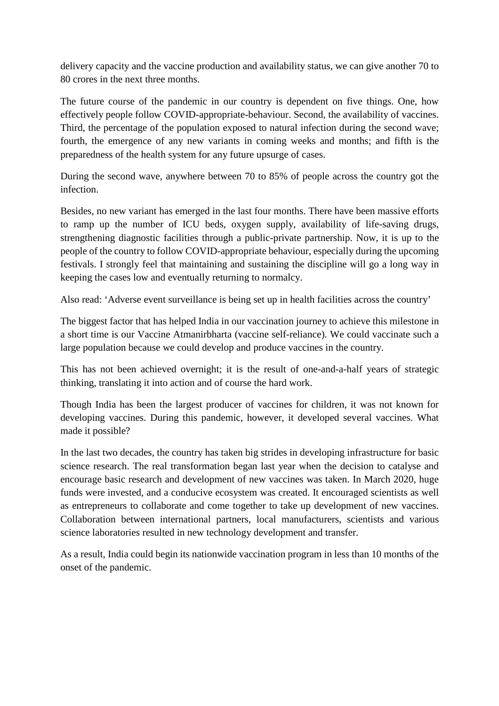delivery capacity and the vaccine production and availability status, we can give another 70 to 80 crores in the next three months.

The future course of the pandemic in our country is dependent on five things. One, how effectively people follow COVID-appropriate-behaviour. Second, the availability of vaccines. Third, the percentage of the population exposed to natural infection during the second wave; fourth, the emergence of any new variants in coming weeks and months; and fifth is the preparedness of the health system for any future upsurge of cases.

During the second wave, anywhere between 70 to 85% of people across the country got the infection.

Besides, no new variant has emerged in the last four months. There have been massive efforts to ramp up the number of ICU beds, oxygen supply, availability of life-saving drugs, strengthening diagnostic facilities through a public-private partnership. Now, it is up to the people of the country to follow COVID-appropriate behaviour, especially during the upcoming festivals. I strongly feel that maintaining and sustaining the discipline will go a long way in keeping the cases low and eventually returning to normalcy.

Also read: 'Adverse event surveillance is being set up in health facilities across the country'

The biggest factor that has helped India in our vaccination journey to achieve this milestone in a short time is our Vaccine Atmanirbharta (vaccine self-reliance). We could vaccinate such a large population because we could develop and produce vaccines in the country.

This has not been achieved overnight; it is the result of one-and-a-half years of strategic thinking, translating it into action and of course the hard work.

Though India has been the largest producer of vaccines for children, it was not known for developing vaccines. During this pandemic, however, it developed several vaccines. What made it possible?

In the last two decades, the country has taken big strides in developing infrastructure for basic science research. The real transformation began last year when the decision to catalyse and encourage basic research and development of new vaccines was taken. In March 2020, huge funds were invested, and a conducive ecosystem was created. It encouraged scientists as well as entrepreneurs to collaborate and come together to take up development of new vaccines. Collaboration between international partners, local manufacturers, scientists and various science laboratories resulted in new technology development and transfer.

As a result, India could begin its nationwide vaccination program in less than 10 months of the onset of the pandemic.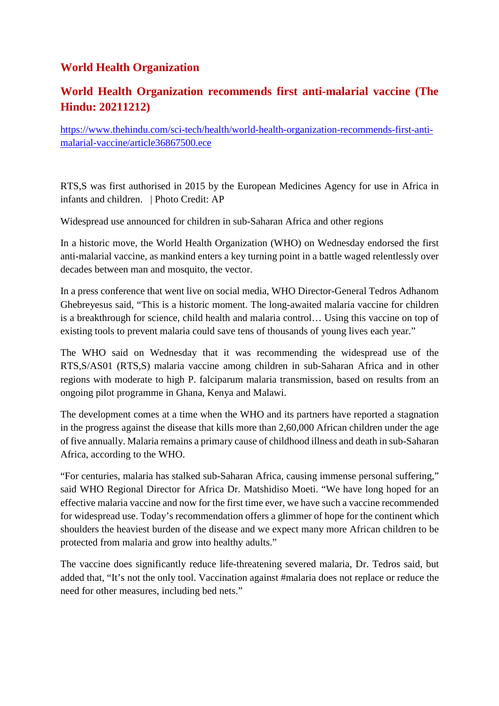#### **World Health Organization**

#### **World Health Organization recommends first anti-malarial vaccine (The Hindu: 20211212)**

https://www.thehindu.com/sci-tech/health/world-health-organization-recommends-first-antimalarial-vaccine/article36867500.ece

RTS,S was first authorised in 2015 by the European Medicines Agency for use in Africa in infants and children. | Photo Credit: AP

Widespread use announced for children in sub-Saharan Africa and other regions

In a historic move, the World Health Organization (WHO) on Wednesday endorsed the first anti-malarial vaccine, as mankind enters a key turning point in a battle waged relentlessly over decades between man and mosquito, the vector.

In a press conference that went live on social media, WHO Director-General Tedros Adhanom Ghebreyesus said, "This is a historic moment. The long-awaited malaria vaccine for children is a breakthrough for science, child health and malaria control… Using this vaccine on top of existing tools to prevent malaria could save tens of thousands of young lives each year."

The WHO said on Wednesday that it was recommending the widespread use of the RTS,S/AS01 (RTS,S) malaria vaccine among children in sub-Saharan Africa and in other regions with moderate to high P. falciparum malaria transmission, based on results from an ongoing pilot programme in Ghana, Kenya and Malawi.

The development comes at a time when the WHO and its partners have reported a stagnation in the progress against the disease that kills more than 2,60,000 African children under the age of five annually. Malaria remains a primary cause of childhood illness and death in sub-Saharan Africa, according to the WHO.

"For centuries, malaria has stalked sub-Saharan Africa, causing immense personal suffering," said WHO Regional Director for Africa Dr. Matshidiso Moeti. "We have long hoped for an effective malaria vaccine and now for the first time ever, we have such a vaccine recommended for widespread use. Today's recommendation offers a glimmer of hope for the continent which shoulders the heaviest burden of the disease and we expect many more African children to be protected from malaria and grow into healthy adults."

The vaccine does significantly reduce life-threatening severed malaria, Dr. Tedros said, but added that, "It's not the only tool. Vaccination against #malaria does not replace or reduce the need for other measures, including bed nets."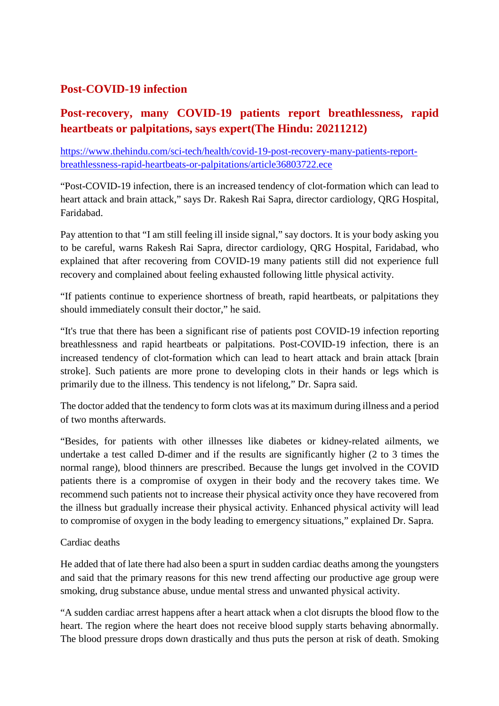#### **Post-COVID-19 infection**

#### **Post-recovery, many COVID-19 patients report breathlessness, rapid heartbeats or palpitations, says expert(The Hindu: 20211212)**

https://www.thehindu.com/sci-tech/health/covid-19-post-recovery-many-patients-reportbreathlessness-rapid-heartbeats-or-palpitations/article36803722.ece

"Post-COVID-19 infection, there is an increased tendency of clot-formation which can lead to heart attack and brain attack," says Dr. Rakesh Rai Sapra, director cardiology, QRG Hospital, Faridabad.

Pay attention to that "I am still feeling ill inside signal," say doctors. It is your body asking you to be careful, warns Rakesh Rai Sapra, director cardiology, QRG Hospital, Faridabad, who explained that after recovering from COVID-19 many patients still did not experience full recovery and complained about feeling exhausted following little physical activity.

"If patients continue to experience shortness of breath, rapid heartbeats, or palpitations they should immediately consult their doctor," he said.

"It's true that there has been a significant rise of patients post COVID-19 infection reporting breathlessness and rapid heartbeats or palpitations. Post-COVID-19 infection, there is an increased tendency of clot-formation which can lead to heart attack and brain attack [brain stroke]. Such patients are more prone to developing clots in their hands or legs which is primarily due to the illness. This tendency is not lifelong," Dr. Sapra said.

The doctor added that the tendency to form clots was at its maximum during illness and a period of two months afterwards.

"Besides, for patients with other illnesses like diabetes or kidney-related ailments, we undertake a test called D-dimer and if the results are significantly higher (2 to 3 times the normal range), blood thinners are prescribed. Because the lungs get involved in the COVID patients there is a compromise of oxygen in their body and the recovery takes time. We recommend such patients not to increase their physical activity once they have recovered from the illness but gradually increase their physical activity. Enhanced physical activity will lead to compromise of oxygen in the body leading to emergency situations," explained Dr. Sapra.

#### Cardiac deaths

He added that of late there had also been a spurt in sudden cardiac deaths among the youngsters and said that the primary reasons for this new trend affecting our productive age group were smoking, drug substance abuse, undue mental stress and unwanted physical activity.

"A sudden cardiac arrest happens after a heart attack when a clot disrupts the blood flow to the heart. The region where the heart does not receive blood supply starts behaving abnormally. The blood pressure drops down drastically and thus puts the person at risk of death. Smoking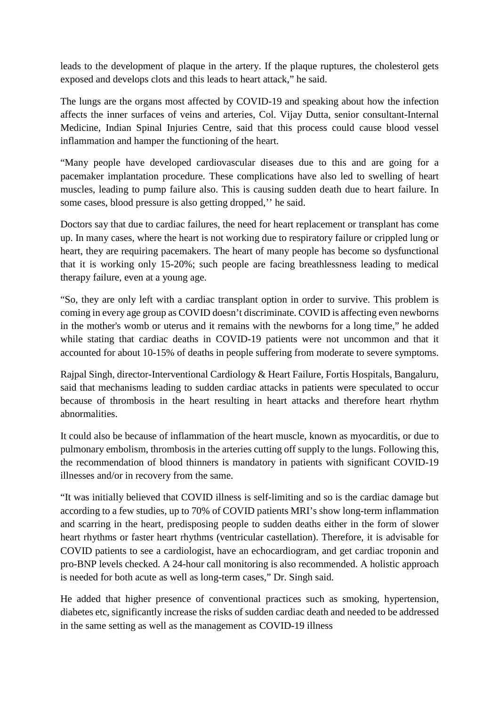leads to the development of plaque in the artery. If the plaque ruptures, the cholesterol gets exposed and develops clots and this leads to heart attack," he said.

The lungs are the organs most affected by COVID-19 and speaking about how the infection affects the inner surfaces of veins and arteries, Col. Vijay Dutta, senior consultant-Internal Medicine, Indian Spinal Injuries Centre, said that this process could cause blood vessel inflammation and hamper the functioning of the heart.

"Many people have developed cardiovascular diseases due to this and are going for a pacemaker implantation procedure. These complications have also led to swelling of heart muscles, leading to pump failure also. This is causing sudden death due to heart failure. In some cases, blood pressure is also getting dropped,'' he said.

Doctors say that due to cardiac failures, the need for heart replacement or transplant has come up. In many cases, where the heart is not working due to respiratory failure or crippled lung or heart, they are requiring pacemakers. The heart of many people has become so dysfunctional that it is working only 15-20%; such people are facing breathlessness leading to medical therapy failure, even at a young age.

"So, they are only left with a cardiac transplant option in order to survive. This problem is coming in every age group as COVID doesn't discriminate. COVID is affecting even newborns in the mother's womb or uterus and it remains with the newborns for a long time," he added while stating that cardiac deaths in COVID-19 patients were not uncommon and that it accounted for about 10-15% of deaths in people suffering from moderate to severe symptoms.

Rajpal Singh, director-Interventional Cardiology & Heart Failure, Fortis Hospitals, Bangaluru, said that mechanisms leading to sudden cardiac attacks in patients were speculated to occur because of thrombosis in the heart resulting in heart attacks and therefore heart rhythm abnormalities.

It could also be because of inflammation of the heart muscle, known as myocarditis, or due to pulmonary embolism, thrombosis in the arteries cutting off supply to the lungs. Following this, the recommendation of blood thinners is mandatory in patients with significant COVID-19 illnesses and/or in recovery from the same.

"It was initially believed that COVID illness is self-limiting and so is the cardiac damage but according to a few studies, up to 70% of COVID patients MRI's show long-term inflammation and scarring in the heart, predisposing people to sudden deaths either in the form of slower heart rhythms or faster heart rhythms (ventricular castellation). Therefore, it is advisable for COVID patients to see a cardiologist, have an echocardiogram, and get cardiac troponin and pro-BNP levels checked. A 24-hour call monitoring is also recommended. A holistic approach is needed for both acute as well as long-term cases," Dr. Singh said.

He added that higher presence of conventional practices such as smoking, hypertension, diabetes etc, significantly increase the risks of sudden cardiac death and needed to be addressed in the same setting as well as the management as COVID-19 illness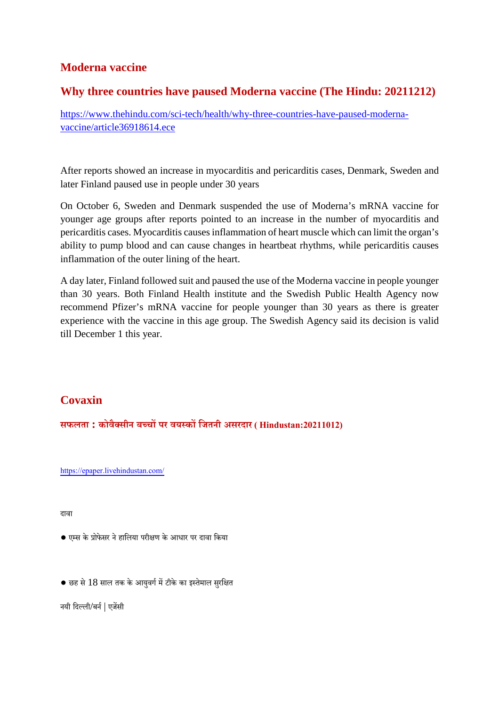#### **Moderna vaccine**

#### **Why three countries have paused Moderna vaccine (The Hindu: 20211212)**

https://www.thehindu.com/sci-tech/health/why-three-countries-have-paused-modernavaccine/article36918614.ece

After reports showed an increase in myocarditis and pericarditis cases, Denmark, Sweden and later Finland paused use in people under 30 years

On October 6, Sweden and Denmark suspended the use of Moderna's mRNA vaccine for younger age groups after reports pointed to an increase in the number of myocarditis and pericarditis cases. Myocarditis causes inflammation of heart muscle which can limit the organ's ability to pump blood and can cause changes in heartbeat rhythms, while pericarditis causes inflammation of the outer lining of the heart.

A day later, Finland followed suit and paused the use of the Moderna vaccine in people younger than 30 years. Both Finland Health institute and the Swedish Public Health Agency now recommend Pfizer's mRNA vaccine for people younger than 30 years as there is greater experience with the vaccine in this age group. The Swedish Agency said its decision is valid till December 1 this year.

#### **Covaxin**

**सफलता : कोवैसीन बचपर वयकिजतनी असरदार ( Hindustan:20211012)**

https://epaper.livehindustan.com/

दावा

- एस केोफेसर नेहािलया परीण केआधार पर दावा िकया
- $\bullet$  छह से  $18$  साल तक के आयुवर्ग में टीके का इस्तेमाल सुरक्षित

नयी दिल्ली/बर्न | एजेंसी